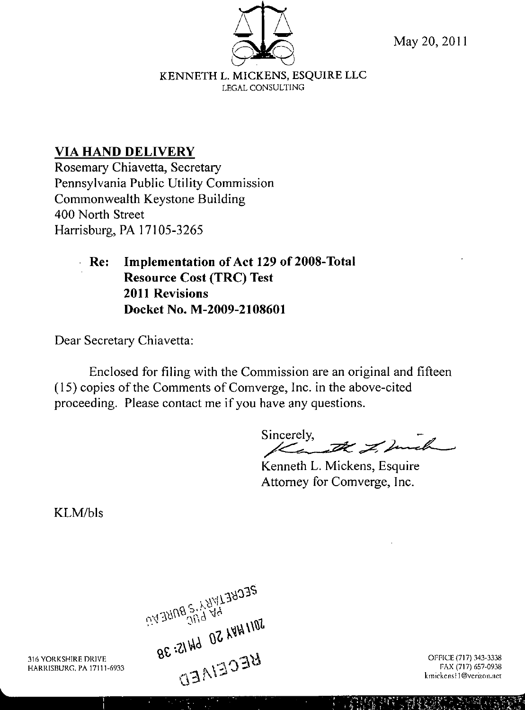

May 20, 2011

KENNETH L. MICKENS, ESQUIRE LLC LEGAL CONSULTING

## **VIA HAND DELIVERY**

Rosemary Chiavetta, Secretary Pennsylvania Public Utility Commission Commonwealth Keystone Building 400 North Street Harrisburg, PA 17105-3265

> **Re: Implementation of Act 129 of 2008-Total Resource Cost (TRC) Test 2011 Revisions Docket No. M-2009-2108601**

Dear Secretary Chiavetta:

Enclosed for filing with the Commission are an original and fifteen (15) copies of the Comments of Comverge, Inc. in the above-cited proceeding. Please contact me if you have any questions.

Sincerely,

Kenneth L. Mickens, Esquire Attorney for Comverge, Inc.

KLM/bls

DECRETINATION CONSERVING BOTHECELARS ON 15:38

 $\label{eq:2} \frac{1}{2} \sum_{i=1}^n \frac{1}{2} \sum_{j=1}^n \frac{1}{2} \sum_{j=1}^n \frac{1}{2} \sum_{j=1}^n \frac{1}{2} \sum_{j=1}^n \frac{1}{2} \sum_{j=1}^n \frac{1}{2} \sum_{j=1}^n \frac{1}{2} \sum_{j=1}^n \frac{1}{2} \sum_{j=1}^n \frac{1}{2} \sum_{j=1}^n \frac{1}{2} \sum_{j=1}^n \frac{1}{2} \sum_{j=1}^n \frac{1}{2} \sum_{j=1}^n \frac{1}{$ 

316 YOkKSHIRt DRIVE HARRISBURG, FA 17111-6933

OFFICE {717} 343-3338 FAX (717) 657-0938 kmickens!1@verizon.net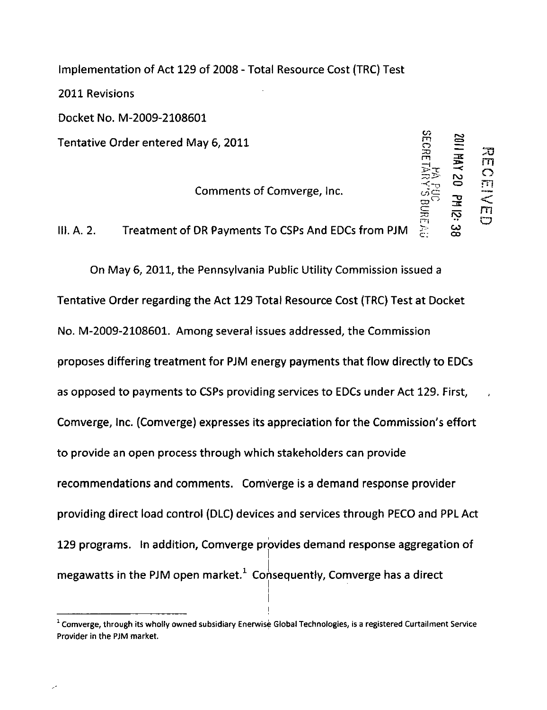Implementation of Act 129 of 2008 - Total Resource Cost (TRC) Test 2011 Revisions Docket No. M-2009-2108601 Tentative Order entered May 6, 2011

Comments of Comverge, Inc.

SE

 $\overline{a}$ 

^

m

 $\mathbf{c}$  ;  $\mathbf{\omega}$ 

r-o

m

 $\frac{1}{2}$  o  $\overline{\phantom{a}}$  . i =™

 $\sim$   $\pi$   $\approx$  $\Xi$   $\Xi$   $\Xi$ 

 $\tilde{\omega}$   $\sim$ 

 $R_{\rm E}$  –  $R_{\rm E}$ 

111. A. 2. Treatment of DR Payments To CSPs And EDCs from PJM

On May 6, 2011, the Pennsylvania Public Utility Commission issued a Tentative Order regarding the Act 129 Total Resource Cost (TRC) Test at Docket No. M-2009-2108601. Among several issues addressed, the Commission proposes differing treatment for PJM energy payments that flow directly to EDCs as opposed to payments to CSPs providing services to EDCs under Act 129. First, Comverge, Inc. (Comverge) expresses its appreciation for the Commission's effort to provide an open process through which stakeholders can provide recommendations and comments. ComVerge is a demand response provider providing direct load control (DLC) devices and services through PECO and PPL Act 129 programs. In addition, Comverge provides demand response aggregation of megawatts in the PJM open market.<sup>1</sup> Consequently, Comverge has a direct

<sup>1</sup> Comverge, through its wholly owned subsidiary Enerwise Global Technologies, is a registered Curtailment Service Provider in the PJM market.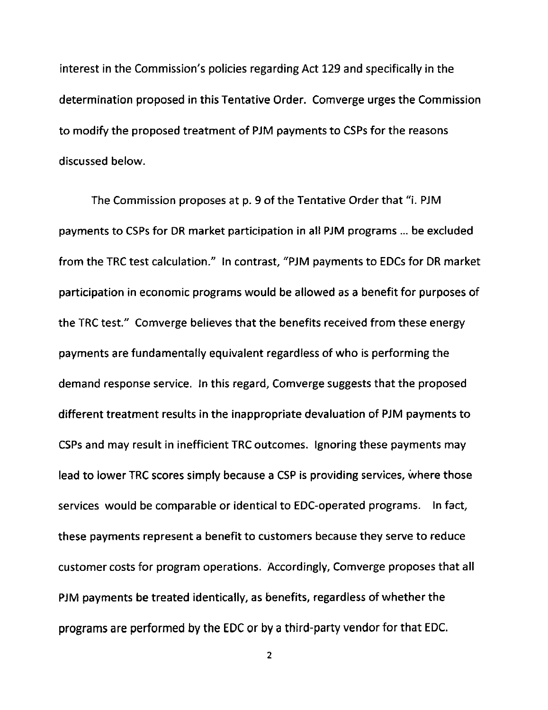interest in the Commission's policies regarding Act 129 and specifically in the determination proposed in this Tentative Order. Comverge urges the Commission to modify the proposed treatment of PJM payments to CSPs for the reasons discussed below.

The Commission proposes at p. 9 of the Tentative Order that "i. PJM payments to CSPs for DR market participation in all PJM programs ... be excluded from the TRC test calculation." In contrast, "PJM payments to EDCs for DR market participation in economic programs would be allowed as a benefit for purposes of the TRC test." Comverge believes that the benefits received from these energy payments are fundamentally equivalent regardless of who is performing the demand response service. In this regard, Comverge suggests that the proposed different treatment results in the inappropriate devaluation of PJM payments to CSPs and may result in inefficient TRC outcomes. Ignoring these payments may lead to lower TRC scores simply because a CSP is providing services, where those services would be comparable or identical to EDC-operated programs. In fact, these payments represent a benefit to customers because they serve to reduce customer costs for program operations. Accordingly, Comverge proposes that all PJM payments be treated identically, as benefits, regardless of whether the programs are performed by the EDC or by a third-party vendor for that EDC.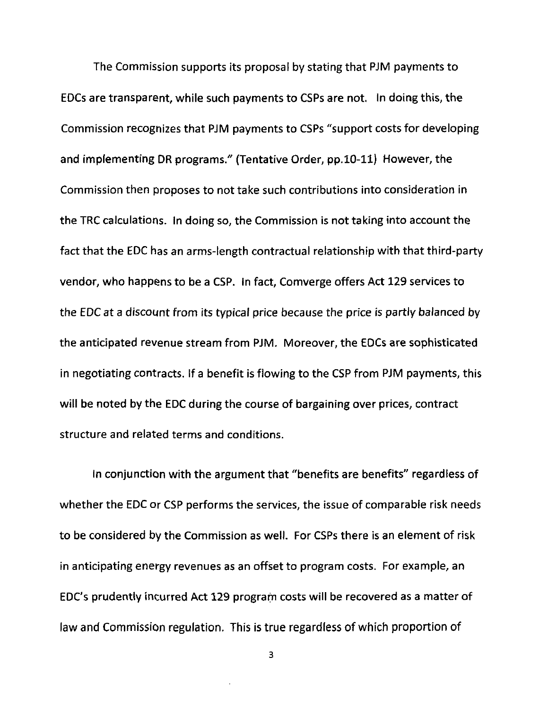The Commission supports its proposal by stating that PJM payments to EDCs are transparent, while such payments to CSPs are not. In doing this, the Commission recognizes that PJM payments to CSPs "support costs for developing and implementing DR programs." (Tentative Order, pp.10-11) However, the Commission then proposes to not take such contributions into consideration in the TRC calculations. In doing so, the Commission is not taking into account the fact that the EDC has an arms-length contractual relationship with that third-party vendor, who happens to be a CSP. In fact, Comverge offers Act 129 services to the EDC at a discount from its typical price because the price is partly balanced by the anticipated revenue stream from PJM. Moreover, the EDCs are sophisticated in negotiating contracts. If a benefit is flowing to the CSP from PJM payments, this will be noted by the EDC during the course of bargaining over prices, contract structure and related terms and conditions.

In conjunction with the argument that "benefits are benefits" regardless of whether the EDC or CSP performs the services, the issue of comparable risk needs to be considered by the Commission as well. For CSPs there is an element of risk in anticipating energy revenues as an offset to program costs. For example, an EDC's prudently incurred Act 129 program costs will be recovered as a matter of law and Commission regulation. This is true regardless of which proportion of

3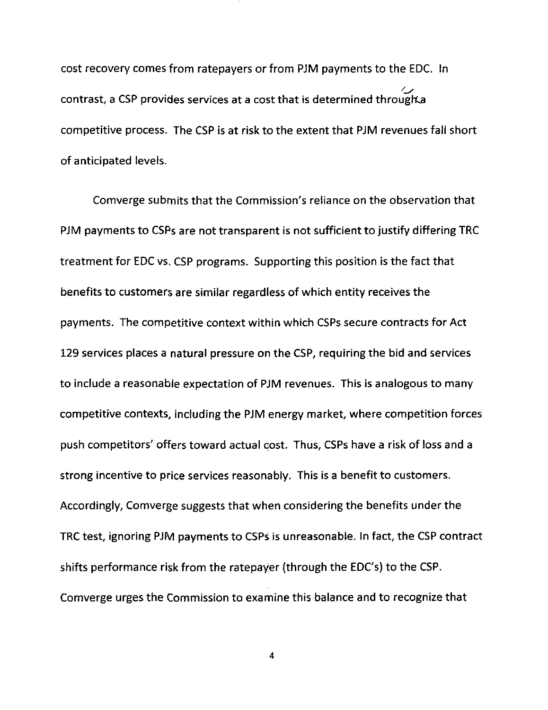cost recovery comes from ratepayers or from PJM payments to the EDC. In contrast, a CSP provides services at a cost that is determined through a competitive process. The CSP is at risk to the extent that PJM revenues fail short of anticipated levels.

Comverge submits that the Commission's reliance on the observation that PJM payments to CSPs are not transparent is not sufficient to justify differing TRC treatment for EDC vs. CSP programs. Supporting this position is the fact that benefits to customers are similar regardless of which entity receives the payments. The competitive context within which CSPs secure contracts for Act 129 services places a natural pressure on the CSP, requiring the bid and services to include a reasonable expectation of PJM revenues. This is analogous to many competitive contexts, including the PJM energy market, where competition forces push competitors' offers toward actual cost. Thus, CSPs have a risk of loss and a strong incentive to price services reasonably. This is a benefit to customers. Accordingly, Comverge suggests that when considering the benefits under the TRC test, ignoring PJM payments to CSPs is unreasonable. In fact, the CSP contract shifts performance risk from the ratepayer (through the EDC's) to the CSP. Comverge urges the Commission to examine this balance and to recognize that

 $\blacktriangleleft$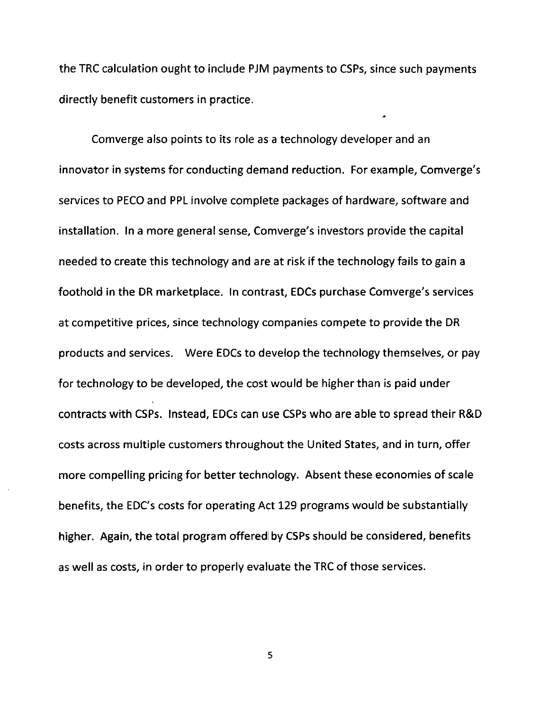the TRC calculation ought to include PJM payments to CSPs, since such payments directly benefit customers in practice.

Comverge also points to its role as a technology developer and an innovator in systems for conducting demand reduction. For example, Comverge's services to PECO and PPL involve complete packages of hardware, software and installation. In a more general sense, Comverge's investors provide the capital needed to create this technology and are at risk if the technology fails to gain a foothold in the DR marketplace. In contrast, EDCs purchase Comverge's services at competitive prices, since technology companies compete to provide the DR products and services. Were EDCs to develop the technology themselves, or pay for technology to be developed, the cost would be higher than is paid under contracts with CSPs. Instead, EDCs can use CSPs who are able to spread their R&D costs across multiple customers throughout the United States, and in turn, offer more compelling pricing for better technology. Absent these economies of scale benefits, the EDC's costs for operating Act 129 programs would be substantially higher. Again, the total program offered by CSPs should be considered, benefits as well as costs, in order to properly evaluate the TRC of those services.

5